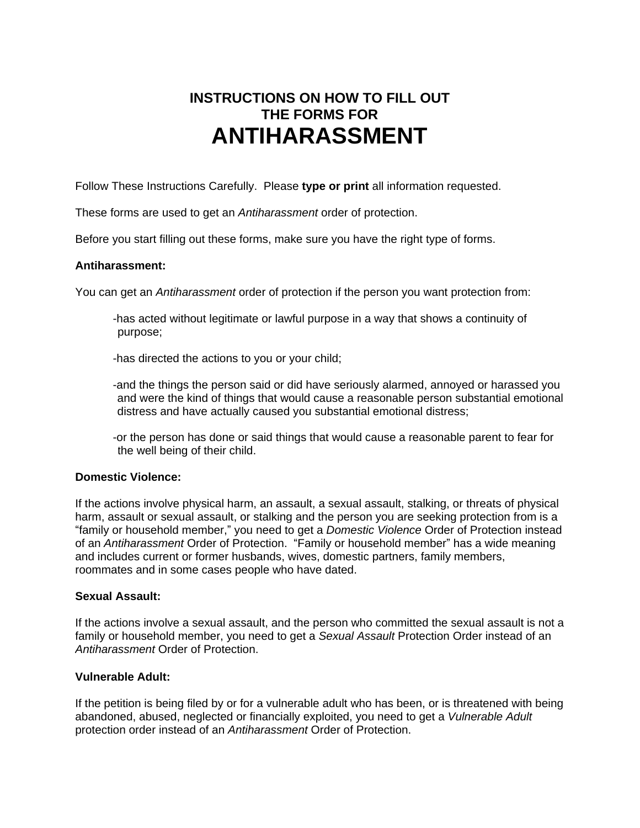# **INSTRUCTIONS ON HOW TO FILL OUT THE FORMS FOR ANTIHARASSMENT**

Follow These Instructions Carefully. Please **type or print** all information requested.

These forms are used to get an *Antiharassment* order of protection.

Before you start filling out these forms, make sure you have the right type of forms.

#### **Antiharassment:**

You can get an *Antiharassment* order of protection if the person you want protection from:

-has acted without legitimate or lawful purpose in a way that shows a continuity of purpose;

-has directed the actions to you or your child;

- -and the things the person said or did have seriously alarmed, annoyed or harassed you and were the kind of things that would cause a reasonable person substantial emotional distress and have actually caused you substantial emotional distress;
- -or the person has done or said things that would cause a reasonable parent to fear for the well being of their child.

## **Domestic Violence:**

If the actions involve physical harm, an assault, a sexual assault, stalking, or threats of physical harm, assault or sexual assault, or stalking and the person you are seeking protection from is a "family or household member," you need to get a *Domestic Violence* Order of Protection instead of an *Antiharassment* Order of Protection. "Family or household member" has a wide meaning and includes current or former husbands, wives, domestic partners, family members, roommates and in some cases people who have dated.

#### **Sexual Assault:**

If the actions involve a sexual assault, and the person who committed the sexual assault is not a family or household member, you need to get a *Sexual Assault* Protection Order instead of an *Antiharassment* Order of Protection.

## **Vulnerable Adult:**

If the petition is being filed by or for a vulnerable adult who has been, or is threatened with being abandoned, abused, neglected or financially exploited, you need to get a *Vulnerable Adult*  protection order instead of an *Antiharassment* Order of Protection.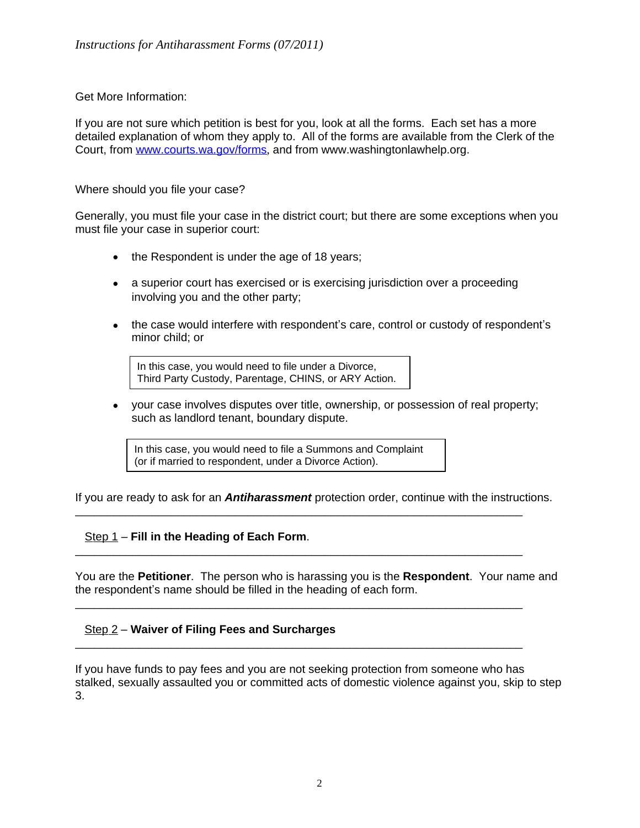## Get More Information:

If you are not sure which petition is best for you, look at all the forms. Each set has a more detailed explanation of whom they apply to. All of the forms are available from the Clerk of the Court, from [www.courts.wa.gov/forms](http://www.courts.wa.gov/forms), and from www.washingtonlawhelp.org.

## Where should you file your case?

Generally, you must file your case in the district court; but there are some exceptions when you must file your case in superior court:

- the Respondent is under the age of 18 years;
- a superior court has exercised or is exercising jurisdiction over a proceeding involving you and the other party;
- the case would interfere with respondent's care, control or custody of respondent's minor child; or

In this case, you would need to file under a Divorce, Third Party Custody, Parentage, CHINS, or ARY Action.

 your case involves disputes over title, ownership, or possession of real property; such as landlord tenant, boundary dispute.

In this case, you would need to file a Summons and Complaint (or if married to respondent, under a Divorce Action).

If you are ready to ask for an *Antiharassment* protection order, continue with the instructions.

\_\_\_\_\_\_\_\_\_\_\_\_\_\_\_\_\_\_\_\_\_\_\_\_\_\_\_\_\_\_\_\_\_\_\_\_\_\_\_\_\_\_\_\_\_\_\_\_\_\_\_\_\_\_\_\_\_\_\_\_\_\_\_\_\_\_\_\_\_\_

\_\_\_\_\_\_\_\_\_\_\_\_\_\_\_\_\_\_\_\_\_\_\_\_\_\_\_\_\_\_\_\_\_\_\_\_\_\_\_\_\_\_\_\_\_\_\_\_\_\_\_\_\_\_\_\_\_\_\_\_\_\_\_\_\_\_\_\_\_\_

\_\_\_\_\_\_\_\_\_\_\_\_\_\_\_\_\_\_\_\_\_\_\_\_\_\_\_\_\_\_\_\_\_\_\_\_\_\_\_\_\_\_\_\_\_\_\_\_\_\_\_\_\_\_\_\_\_\_\_\_\_\_\_\_\_\_\_\_\_\_

\_\_\_\_\_\_\_\_\_\_\_\_\_\_\_\_\_\_\_\_\_\_\_\_\_\_\_\_\_\_\_\_\_\_\_\_\_\_\_\_\_\_\_\_\_\_\_\_\_\_\_\_\_\_\_\_\_\_\_\_\_\_\_\_\_\_\_\_\_\_

## Step 1 – **Fill in the Heading of Each Form**.

You are the **Petitioner**. The person who is harassing you is the **Respondent**. Your name and the respondent's name should be filled in the heading of each form.

## Step 2 – **Waiver of Filing Fees and Surcharges**

If you have funds to pay fees and you are not seeking protection from someone who has stalked, sexually assaulted you or committed acts of domestic violence against you, skip to step 3.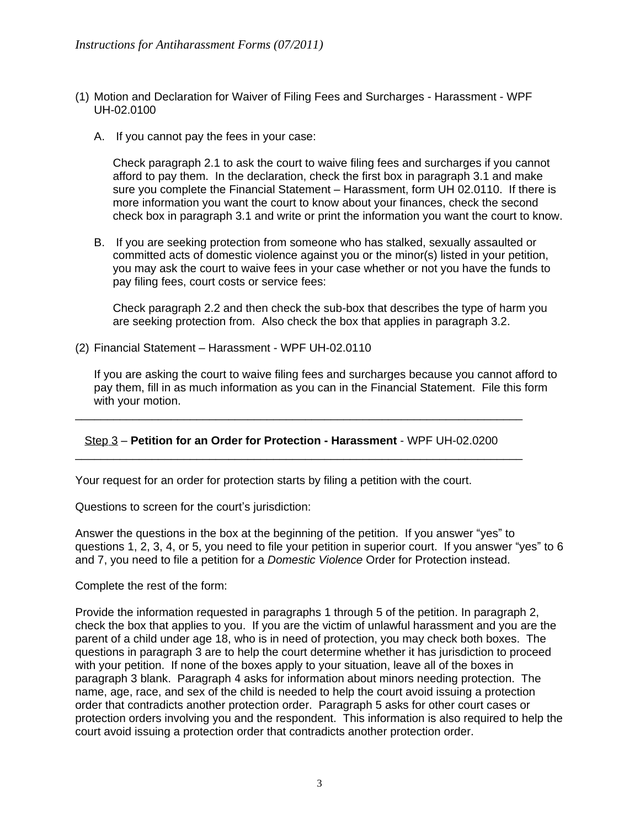- (1) Motion and Declaration for Waiver of Filing Fees and Surcharges Harassment WPF UH-02.0100
	- A. If you cannot pay the fees in your case:

Check paragraph 2.1 to ask the court to waive filing fees and surcharges if you cannot afford to pay them. In the declaration, check the first box in paragraph 3.1 and make sure you complete the Financial Statement – Harassment, form UH 02.0110. If there is more information you want the court to know about your finances, check the second check box in paragraph 3.1 and write or print the information you want the court to know.

B. If you are seeking protection from someone who has stalked, sexually assaulted or committed acts of domestic violence against you or the minor(s) listed in your petition, you may ask the court to waive fees in your case whether or not you have the funds to pay filing fees, court costs or service fees:

Check paragraph 2.2 and then check the sub-box that describes the type of harm you are seeking protection from. Also check the box that applies in paragraph 3.2.

(2) Financial Statement – Harassment - WPF UH-02.0110

If you are asking the court to waive filing fees and surcharges because you cannot afford to pay them, fill in as much information as you can in the Financial Statement. File this form with your motion.

#### Step 3 – **Petition for an Order for Protection - Harassment** - WPF UH-02.0200 \_\_\_\_\_\_\_\_\_\_\_\_\_\_\_\_\_\_\_\_\_\_\_\_\_\_\_\_\_\_\_\_\_\_\_\_\_\_\_\_\_\_\_\_\_\_\_\_\_\_\_\_\_\_\_\_\_\_\_\_\_\_\_\_\_\_\_\_\_\_

\_\_\_\_\_\_\_\_\_\_\_\_\_\_\_\_\_\_\_\_\_\_\_\_\_\_\_\_\_\_\_\_\_\_\_\_\_\_\_\_\_\_\_\_\_\_\_\_\_\_\_\_\_\_\_\_\_\_\_\_\_\_\_\_\_\_\_\_\_\_

Your request for an order for protection starts by filing a petition with the court.

Questions to screen for the court's jurisdiction:

Answer the questions in the box at the beginning of the petition. If you answer "yes" to questions 1, 2, 3, 4, or 5, you need to file your petition in superior court. If you answer "yes" to 6 and 7, you need to file a petition for a *Domestic Violence* Order for Protection instead.

#### Complete the rest of the form:

Provide the information requested in paragraphs 1 through 5 of the petition. In paragraph 2, check the box that applies to you. If you are the victim of unlawful harassment and you are the parent of a child under age 18, who is in need of protection, you may check both boxes. The questions in paragraph 3 are to help the court determine whether it has jurisdiction to proceed with your petition. If none of the boxes apply to your situation, leave all of the boxes in paragraph 3 blank. Paragraph 4 asks for information about minors needing protection. The name, age, race, and sex of the child is needed to help the court avoid issuing a protection order that contradicts another protection order. Paragraph 5 asks for other court cases or protection orders involving you and the respondent. This information is also required to help the court avoid issuing a protection order that contradicts another protection order.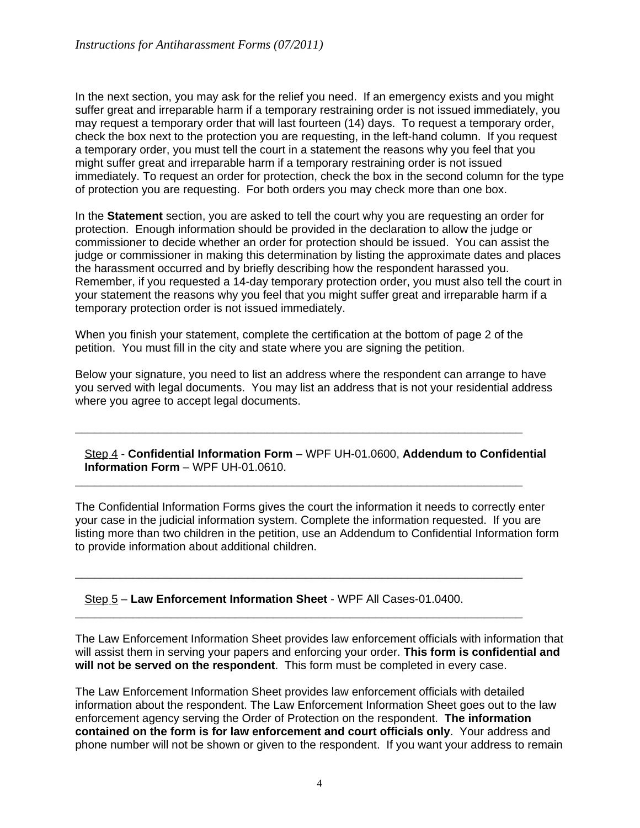In the next section, you may ask for the relief you need. If an emergency exists and you might suffer great and irreparable harm if a temporary restraining order is not issued immediately, you may request a temporary order that will last fourteen (14) days. To request a temporary order, check the box next to the protection you are requesting, in the left-hand column. If you request a temporary order, you must tell the court in a statement the reasons why you feel that you might suffer great and irreparable harm if a temporary restraining order is not issued immediately. To request an order for protection, check the box in the second column for the type of protection you are requesting. For both orders you may check more than one box.

In the **Statement** section, you are asked to tell the court why you are requesting an order for protection. Enough information should be provided in the declaration to allow the judge or commissioner to decide whether an order for protection should be issued. You can assist the judge or commissioner in making this determination by listing the approximate dates and places the harassment occurred and by briefly describing how the respondent harassed you. Remember, if you requested a 14-day temporary protection order, you must also tell the court in your statement the reasons why you feel that you might suffer great and irreparable harm if a temporary protection order is not issued immediately.

When you finish your statement, complete the certification at the bottom of page 2 of the petition. You must fill in the city and state where you are signing the petition.

\_\_\_\_\_\_\_\_\_\_\_\_\_\_\_\_\_\_\_\_\_\_\_\_\_\_\_\_\_\_\_\_\_\_\_\_\_\_\_\_\_\_\_\_\_\_\_\_\_\_\_\_\_\_\_\_\_\_\_\_\_\_\_\_\_\_\_\_\_\_

\_\_\_\_\_\_\_\_\_\_\_\_\_\_\_\_\_\_\_\_\_\_\_\_\_\_\_\_\_\_\_\_\_\_\_\_\_\_\_\_\_\_\_\_\_\_\_\_\_\_\_\_\_\_\_\_\_\_\_\_\_\_\_\_\_\_\_\_\_\_

\_\_\_\_\_\_\_\_\_\_\_\_\_\_\_\_\_\_\_\_\_\_\_\_\_\_\_\_\_\_\_\_\_\_\_\_\_\_\_\_\_\_\_\_\_\_\_\_\_\_\_\_\_\_\_\_\_\_\_\_\_\_\_\_\_\_\_\_\_\_

\_\_\_\_\_\_\_\_\_\_\_\_\_\_\_\_\_\_\_\_\_\_\_\_\_\_\_\_\_\_\_\_\_\_\_\_\_\_\_\_\_\_\_\_\_\_\_\_\_\_\_\_\_\_\_\_\_\_\_\_\_\_\_\_\_\_\_\_\_\_

Below your signature, you need to list an address where the respondent can arrange to have you served with legal documents. You may list an address that is not your residential address where you agree to accept legal documents.

Step 4 - **Confidential Information Form** – WPF UH-01.0600, **Addendum to Confidential Information Form** – WPF UH-01.0610.

The Confidential Information Forms gives the court the information it needs to correctly enter your case in the judicial information system. Complete the information requested. If you are listing more than two children in the petition, use an Addendum to Confidential Information form to provide information about additional children.

Step 5 – **Law Enforcement Information Sheet** - WPF All Cases-01.0400.

The Law Enforcement Information Sheet provides law enforcement officials with information that will assist them in serving your papers and enforcing your order. **This form is confidential and will not be served on the respondent**. This form must be completed in every case.

The Law Enforcement Information Sheet provides law enforcement officials with detailed information about the respondent. The Law Enforcement Information Sheet goes out to the law enforcement agency serving the Order of Protection on the respondent. **The information contained on the form is for law enforcement and court officials only**. Your address and phone number will not be shown or given to the respondent. If you want your address to remain